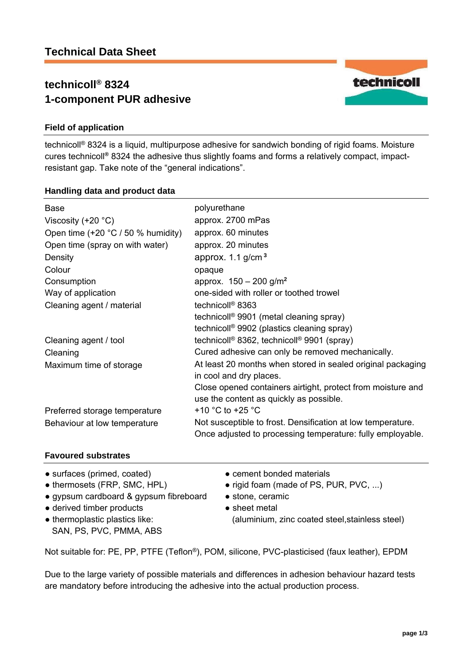# **technicoll® 8324 1-component PUR adhesive**



technicoll® 8324 is a liquid, multipurpose adhesive for sandwich bonding of rigid foams. Moisture cures technicoll**®** 8324 the adhesive thus slightly foams and forms a relatively compact, impactresistant gap. Take note of the "general indications".

#### **Handling data and product data**

| Base<br>Viscosity (+20 $^{\circ}$ C) | polyurethane<br>approx. 2700 mPas                                                                                         |
|--------------------------------------|---------------------------------------------------------------------------------------------------------------------------|
| Open time $(+20 °C / 50 %$ humidity) | approx. 60 minutes                                                                                                        |
| Open time (spray on with water)      | approx. 20 minutes                                                                                                        |
| Density                              | approx. $1.1$ g/cm <sup>3</sup>                                                                                           |
| Colour                               | opaque                                                                                                                    |
| Consumption                          | approx. $150 - 200$ g/m <sup>2</sup>                                                                                      |
| Way of application                   | one-sided with roller or toothed trowel                                                                                   |
| Cleaning agent / material            | technicoll <sup>®</sup> 8363                                                                                              |
|                                      | technicoll <sup>®</sup> 9901 (metal cleaning spray)                                                                       |
|                                      | technicoll <sup>®</sup> 9902 (plastics cleaning spray)                                                                    |
| Cleaning agent / tool                | technicoll® 8362, technicoll® 9901 (spray)                                                                                |
| Cleaning                             | Cured adhesive can only be removed mechanically.                                                                          |
| Maximum time of storage              | At least 20 months when stored in sealed original packaging<br>in cool and dry places.                                    |
|                                      | Close opened containers airtight, protect from moisture and<br>use the content as quickly as possible.                    |
| Preferred storage temperature        | +10 $^{\circ}$ C to +25 $^{\circ}$ C                                                                                      |
| Behaviour at low temperature         | Not susceptible to frost. Densification at low temperature.<br>Once adjusted to processing temperature: fully employable. |

# **Favoured substrates**

- surfaces (primed, coated) cement bonded materials
- 
- gypsum cardboard & gypsum fibreboard stone, ceramic
- derived timber products
- thermoplastic plastics like: SAN, PS, PVC, PMMA, ABS
- 
- thermosets (FRP, SMC, HPL) rigid foam (made of PS, PUR, PVC, ...)
	-
	- sheet metal (aluminium, zinc coated steel,stainless steel)

Not suitable for: PE, PP, PTFE (Teflon®), POM, silicone, PVC-plasticised (faux leather), EPDM

Due to the large variety of possible materials and differences in adhesion behaviour hazard tests are mandatory before introducing the adhesive into the actual production process.

technicoll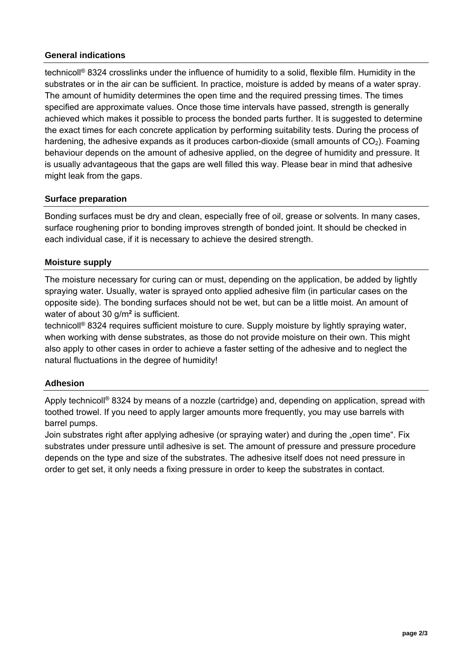# **General indications**

technicoll® 8324 crosslinks under the influence of humidity to a solid, flexible film. Humidity in the substrates or in the air can be sufficient. In practice, moisture is added by means of a water spray. The amount of humidity determines the open time and the required pressing times. The times specified are approximate values. Once those time intervals have passed, strength is generally achieved which makes it possible to process the bonded parts further. It is suggested to determine the exact times for each concrete application by performing suitability tests. During the process of hardening, the adhesive expands as it produces carbon-dioxide (small amounts of  $CO<sub>2</sub>$ ). Foaming behaviour depends on the amount of adhesive applied, on the degree of humidity and pressure. It is usually advantageous that the gaps are well filled this way. Please bear in mind that adhesive might leak from the gaps.

### **Surface preparation**

Bonding surfaces must be dry and clean, especially free of oil, grease or solvents. In many cases, surface roughening prior to bonding improves strength of bonded joint. It should be checked in each individual case, if it is necessary to achieve the desired strength.

# **Moisture supply**

The moisture necessary for curing can or must, depending on the application, be added by lightly spraying water. Usually, water is sprayed onto applied adhesive film (in particular cases on the opposite side). The bonding surfaces should not be wet, but can be a little moist. An amount of water of about 30 g/m**<sup>2</sup>** is sufficient.

technicoll® 8324 requires sufficient moisture to cure. Supply moisture by lightly spraying water, when working with dense substrates, as those do not provide moisture on their own. This might also apply to other cases in order to achieve a faster setting of the adhesive and to neglect the natural fluctuations in the degree of humidity!

### **Adhesion**

Apply technicoll<sup>®</sup> 8324 by means of a nozzle (cartridge) and, depending on application, spread with toothed trowel. If you need to apply larger amounts more frequently, you may use barrels with barrel pumps.

Join substrates right after applying adhesive (or spraying water) and during the "open time". Fix substrates under pressure until adhesive is set. The amount of pressure and pressure procedure depends on the type and size of the substrates. The adhesive itself does not need pressure in order to get set, it only needs a fixing pressure in order to keep the substrates in contact.